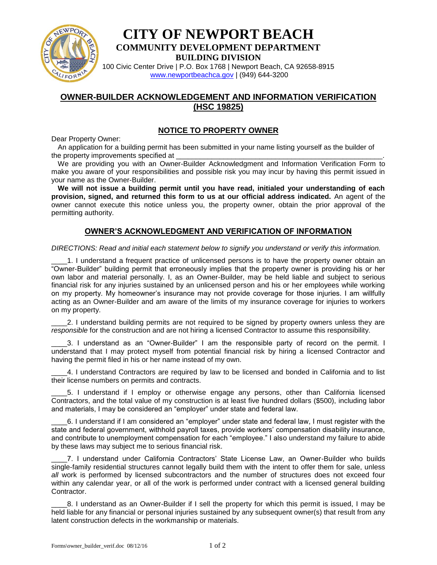

**CITY OF NEWPORT BEACH COMMUNITY DEVELOPMENT DEPARTMENT BUILDING DIVISION**

100 Civic Center Drive | P.O. Box 1768 | Newport Beach, CA 92658-8915 [www.newportbeachca.gov](http://www.newportbeachca.gov/) | (949) 644-3200

## **OWNER-BUILDER ACKNOWLEDGEMENT AND INFORMATION VERIFICATION (HSC 19825)**

## **NOTICE TO PROPERTY OWNER**

Dear Property Owner:

An application for a building permit has been submitted in your name listing yourself as the builder of the property improvements specified at

We are providing you with an Owner-Builder Acknowledgment and Information Verification Form to make you aware of your responsibilities and possible risk you may incur by having this permit issued in your name as the Owner-Builder.

**We will not issue a building permit until you have read, initialed your understanding of each provision, signed, and returned this form to us at our official address indicated.** An agent of the owner cannot execute this notice unless you, the property owner, obtain the prior approval of the permitting authority.

## **OWNER'S ACKNOWLEDGMENT AND VERIFICATION OF INFORMATION**

*DIRECTIONS: Read and initial each statement below to signify you understand or verify this information.*

1. I understand a frequent practice of unlicensed persons is to have the property owner obtain an "Owner-Builder" building permit that erroneously implies that the property owner is providing his or her own labor and material personally. I, as an Owner-Builder, may be held liable and subject to serious financial risk for any injuries sustained by an unlicensed person and his or her employees while working on my property. My homeowner's insurance may not provide coverage for those injuries. I am willfully acting as an Owner-Builder and am aware of the limits of my insurance coverage for injuries to workers on my property.

2. I understand building permits are not required to be signed by property owners unless they are *responsible* for the construction and are not hiring a licensed Contractor to assume this responsibility.

\_\_\_\_3. I understand as an "Owner-Builder" I am the responsible party of record on the permit. I understand that I may protect myself from potential financial risk by hiring a licensed Contractor and having the permit filed in his or her name instead of my own.

\_\_\_\_4. I understand Contractors are required by law to be licensed and bonded in California and to list their license numbers on permits and contracts.

\_\_\_\_5. I understand if I employ or otherwise engage any persons, other than California licensed Contractors, and the total value of my construction is at least five hundred dollars (\$500), including labor and materials, I may be considered an "employer" under state and federal law.

\_\_\_\_6. I understand if I am considered an "employer" under state and federal law, I must register with the state and federal government, withhold payroll taxes, provide workers' compensation disability insurance, and contribute to unemployment compensation for each "employee." I also understand my failure to abide by these laws may subject me to serious financial risk.

\_\_\_\_7. I understand under California Contractors' State License Law, an Owner-Builder who builds single-family residential structures cannot legally build them with the intent to offer them for sale, unless all work is performed by licensed subcontractors and the number of structures does not exceed four within any calendar year, or all of the work is performed under contract with a licensed general building Contractor.

\_\_\_\_8. I understand as an Owner-Builder if I sell the property for which this permit is issued, I may be held liable for any financial or personal injuries sustained by any subsequent owner(s) that result from any latent construction defects in the workmanship or materials.